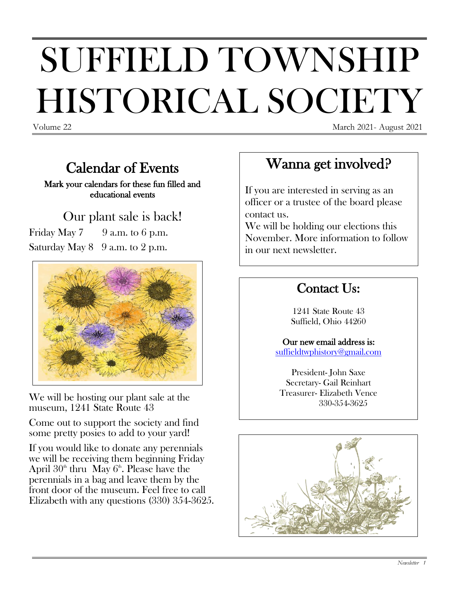# SUFFIELD TOWNSHIP HISTORICAL SOCIETY

Volume 22 March 2021 - August 2021

#### Calendar of Events

Mark your calendars for these fun filled and educational events

# Our plant sale is back!

Friday May  $7 \times 9$  a.m. to 6 p.m. Saturday May  $8 \quad 9$  a.m. to  $2$  p.m.



We will be hosting our plant sale at the museum, 1241 State Route 43

Come out to support the society and find some pretty posies to add to your yard!

If you would like to donate any perennials we will be receiving them beginning Friday April  $30<sup>th</sup>$  thru May  $6<sup>th</sup>$ . Please have the perennials in a bag and leave them by the front door of the museum. Feel free to call Elizabeth with any questions (330) 354-3625.

## Wanna get involved?

If you are interested in serving as an officer or a trustee of the board please contact us.

We will be holding our elections this November. More information to follow in our next newsletter.

#### Contact Us:

1241 State Route 43 Suffield, Ohio 44260

Our new email address is: [suffieldtwphistory@gmail.com](mailto:suffieldtwphistory@gmail.com)

President- John Saxe Secretary- Gail Reinhart Treasurer- Elizabeth Vence 330-354-3625

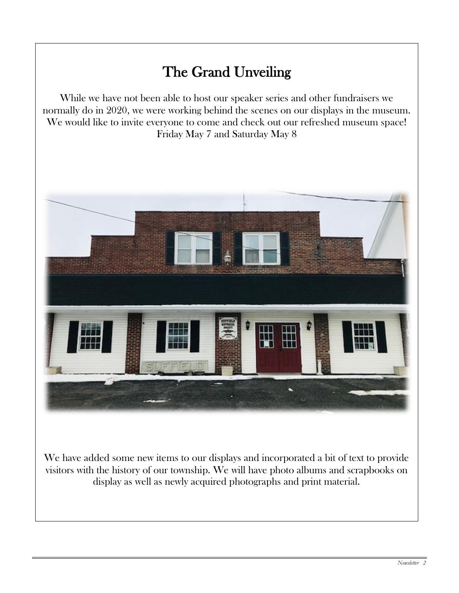## The Grand Unveiling

While we have not been able to host our speaker series and other fundraisers we normally do in 2020, we were working behind the scenes on our displays in the museum. We would like to invite everyone to come and check out our refreshed museum space! Friday May 7 and Saturday May 8

I



We have added some new items to our displays and incorporated a bit of text to provide visitors with the history of our township. We will have photo albums and scrapbooks on display as well as newly acquired photographs and print material.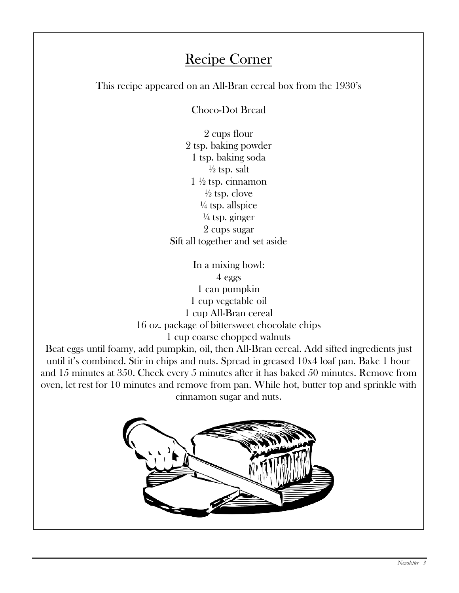#### Recipe Corner

This recipe appeared on an All-Bran cereal box from the 1930's

Choco-Dot Bread

2 cups flour 2 tsp. baking powder 1 tsp. baking soda  $\frac{1}{2}$  tsp. salt  $1\frac{1}{2}$  tsp. cinnamon  $\frac{1}{2}$  tsp. clove  $\frac{1}{4}$  tsp. allspice  $\frac{1}{4}$  tsp. ginger 2 cups sugar Sift all together and set aside

In a mixing bowl: 4 eggs 1 can pumpkin 1 cup vegetable oil 1 cup All-Bran cereal 16 oz. package of bittersweet chocolate chips

 $\overline{\phantom{a}}$ 

 $\overline{\phantom{a}}$ 

1 cup coarse chopped walnuts

Beat eggs until foamy, add pumpkin, oil, then All-Bran cereal. Add sifted ingredients just until it's combined. Stir in chips and nuts. Spread in greased 10x4 loaf pan. Bake 1 hour and 15 minutes at 350. Check every 5 minutes after it has baked 50 minutes. Remove from oven, let rest for 10 minutes and remove from pan. While hot, butter top and sprinkle with cinnamon sugar and nuts.

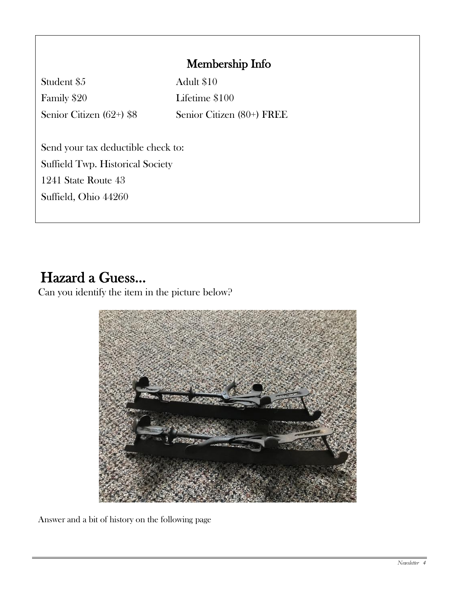#### Membership Info

Student \$5 Adult \$10 Family \$20 Lifetime \$100

Senior Citizen (62+) \$8 Senior Citizen (80+) FREE

Send your tax deductible check to: Suffield Twp. Historical Society 1241 State Route 43 Suffield, Ohio 44260

## Hazard a Guess…

Can you identify the item in the picture below?



Answer and a bit of history on the following page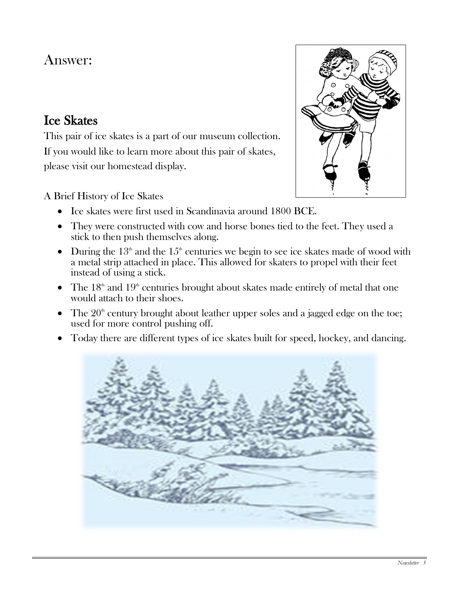### Answer:

#### Ice Skates

This pair of ice skates is a part of our museum collection. If you would like to learn more about this pair of skates, please visit our homestead display.

#### A Brief History of Ice Skates

- Ice skates were first used in Scandinavia around 1800 BCE.
- They were constructed with cow and horse bones tied to the feet. They used a stick to then push themselves along.
- During the  $13<sup>th</sup>$  and the  $15<sup>th</sup>$  centuries we begin to see ice skates made of wood with a metal strip attached in place. This allowed for skaters to propel with their feet instead of using a stick.
- The  $18<sup>th</sup>$  and  $19<sup>th</sup>$  centuries brought about skates made entirely of metal that one would attach to their shoes.
- The  $20<sup>th</sup>$  century brought about leather upper soles and a jagged edge on the toe; used for more control pushing off.
- Today there are different types of ice skates built for speed, hockey, and dancing.



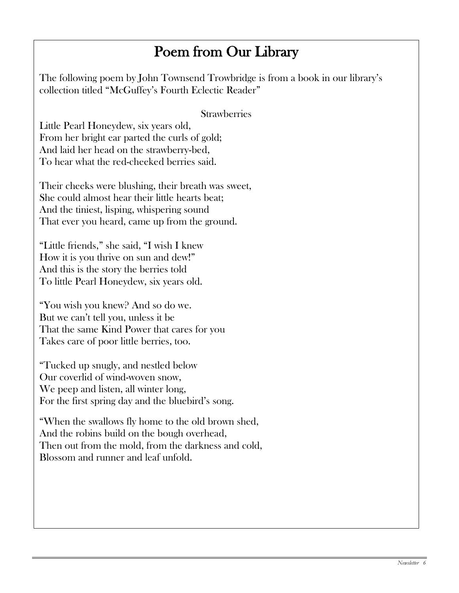## Poem from Our Library

The following poem by John Townsend Trowbridge is from a book in our library's collection titled "McGuffey's Fourth Eclectic Reader"

#### **Strawberries**

Little Pearl Honeydew, six years old, From her bright ear parted the curls of gold; And laid her head on the strawberry-bed, To hear what the red-cheeked berries said.

Their cheeks were blushing, their breath was sweet, She could almost hear their little hearts beat; And the tiniest, lisping, whispering sound That ever you heard, came up from the ground.

"Little friends," she said, "I wish I knew How it is you thrive on sun and dew!" And this is the story the berries told To little Pearl Honeydew, six years old.

"You wish you knew? And so do we. But we can't tell you, unless it be That the same Kind Power that cares for you Takes care of poor little berries, too.

"Tucked up snugly, and nestled below Our coverlid of wind-woven snow, We peep and listen, all winter long, For the first spring day and the bluebird's song.

"When the swallows fly home to the old brown shed, And the robins build on the bough overhead, Then out from the mold, from the darkness and cold, Blossom and runner and leaf unfold.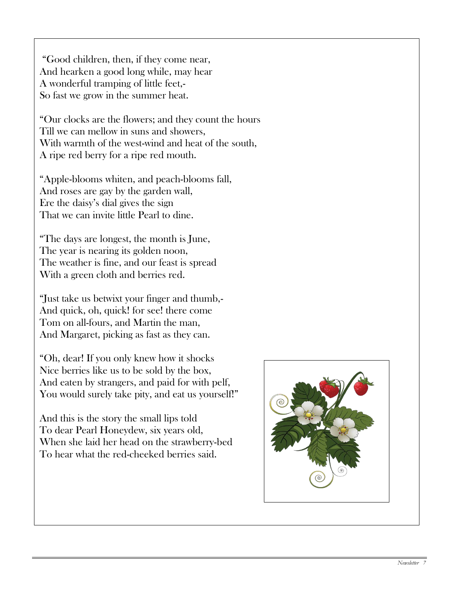"Good children, then, if they come near, And hearken a good long while, may hear A wonderful tramping of little feet,- So fast we grow in the summer heat.

"Our clocks are the flowers; and they count the hours Till we can mellow in suns and showers, With warmth of the west-wind and heat of the south, A ripe red berry for a ripe red mouth.

"Apple-blooms whiten, and peach-blooms fall, And roses are gay by the garden wall, Ere the daisy's dial gives the sign That we can invite little Pearl to dine.

"The days are longest, the month is June, The year is nearing its golden noon, The weather is fine, and our feast is spread With a green cloth and berries red.

"Just take us betwixt your finger and thumb,- And quick, oh, quick! for see! there come Tom on all-fours, and Martin the man, And Margaret, picking as fast as they can.

"Oh, dear! If you only knew how it shocks Nice berries like us to be sold by the box, And eaten by strangers, and paid for with pelf, You would surely take pity, and eat us yourself!"

And this is the story the small lips told To dear Pearl Honeydew, six years old, When she laid her head on the strawberry-bed To hear what the red-cheeked berries said.